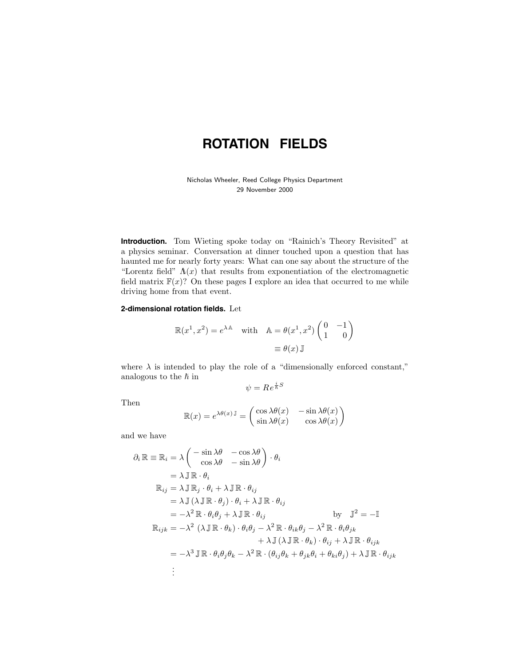## **ROTATION FIELDS**

Nicholas Wheeler, Reed College Physics Department 29 November 2000

**Introduction.** Tom Wieting spoke today on "Rainich's Theory Revisited" at a physics seminar. Conversation at dinner touched upon a question that has haunted me for nearly forty years: What can one say about the structure of the "Lorentz field"  $\Lambda(x)$  that results from exponentiation of the electromagnetic field matrix  $F(x)$ ? On these pages I explore an idea that occurred to me while driving home from that event.

## **2-dimensional rotation fields.** Let

$$
\mathbb{R}(x^1, x^2) = e^{\lambda \mathbb{A}} \quad \text{with} \quad \mathbb{A} = \theta(x^1, x^2) \begin{pmatrix} 0 & -1 \\ 1 & 0 \end{pmatrix}
$$

$$
\equiv \theta(x) \mathbb{J}
$$

where  $\lambda$  is intended to play the role of a "dimensionally enforced constant," analogous to the  $\hbar$  in

$$
\psi = Re^{\frac{i}{\hbar}S}
$$

Then

$$
\mathbb{R}(x) = e^{\lambda \theta(x) \mathbb{J}} = \begin{pmatrix} \cos \lambda \theta(x) & -\sin \lambda \theta(x) \\ \sin \lambda \theta(x) & \cos \lambda \theta(x) \end{pmatrix}
$$

and we have

$$
\partial_i \mathbb{R} \equiv \mathbb{R}_i = \lambda \begin{pmatrix} -\sin \lambda \theta & -\cos \lambda \theta \\ \cos \lambda \theta & -\sin \lambda \theta \end{pmatrix} \cdot \theta_i
$$
  
\n
$$
= \lambda \mathbb{J} \mathbb{R} \cdot \theta_i
$$
  
\n
$$
\mathbb{R}_{ij} = \lambda \mathbb{J} \mathbb{R}_j \cdot \theta_i + \lambda \mathbb{J} \mathbb{R} \cdot \theta_{ij}
$$
  
\n
$$
= \lambda \mathbb{J} (\lambda \mathbb{J} \mathbb{R} \cdot \theta_j) \cdot \theta_i + \lambda \mathbb{J} \mathbb{R} \cdot \theta_{ij}
$$
  
\n
$$
= -\lambda^2 \mathbb{R} \cdot \theta_i \theta_j + \lambda \mathbb{J} \mathbb{R} \cdot \theta_{ij}
$$
  
\n
$$
= -\lambda^2 (\lambda \mathbb{J} \mathbb{R} \cdot \theta_k) \cdot \theta_i \theta_j - \lambda^2 \mathbb{R} \cdot \theta_{ik} \theta_j - \lambda^2 \mathbb{R} \cdot \theta_i \theta_{jk}
$$
  
\n
$$
+ \lambda \mathbb{J} (\lambda \mathbb{J} \mathbb{R} \cdot \theta_k) \cdot \theta_{ij} + \lambda \mathbb{J} \mathbb{R} \cdot \theta_{ijk}
$$
  
\n
$$
= -\lambda^3 \mathbb{J} \mathbb{R} \cdot \theta_i \theta_j \theta_k - \lambda^2 \mathbb{R} \cdot (\theta_{ij} \theta_k + \theta_{jk} \theta_i + \theta_{ki} \theta_j) + \lambda \mathbb{J} \mathbb{R} \cdot \theta_{ijk}
$$
  
\n
$$
\vdots
$$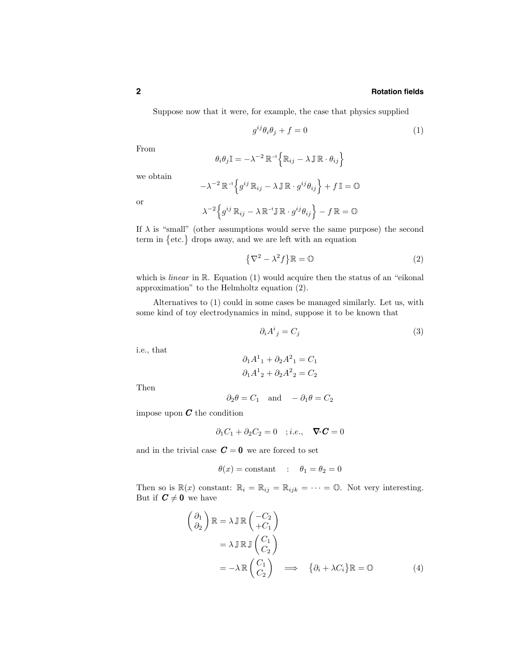## **2 Rotation fields**

Suppose now that it were, for example, the case that physics supplied

$$
g^{ij}\theta_i\theta_j + f = 0\tag{1}
$$

From

$$
\theta_i \theta_j \mathbb{I} = -\lambda^{-2} \, \mathbb{R}^{-1} \Big\{ \mathbb{R}_{ij} - \lambda \, \mathbb{J} \, \mathbb{R} \cdot \theta_{ij} \Big\}
$$

we obtain

$$
-\lambda^{-2}\,\mathbb{R}^{\mathbf{-1}}\Big\{g^{ij}\,\mathbb{R}_{ij}-\lambda\,\mathbb{J}\,\mathbb{R}\cdot g^{ij}\theta_{ij}\Big\}+f\,\mathbb{I}=\mathbb{O}
$$

or

$$
\lambda^{-2}\Big\{g^{ij}\,\mathbb{R}_{ij}-\lambda\,\mathbb{R}^{-1}\mathbb{J}\,\mathbb{R}\cdot g^{ij}\theta_{ij}\Big\}-f\,\mathbb{R}=\mathbb{O}
$$

If  $\lambda$  is "small" (other assumptions would serve the same purpose) the second term in  $\{\text{etc.}\}\)$  drops away, and we are left with an equation

$$
\left\{\nabla^2 - \lambda^2 f\right\} \mathbb{R} = \mathbb{O}
$$
 (2)

which is *linear* in R. Equation (1) would acquire then the status of an "eikonal" approximation" to the Helmholtz equation (2).

Alternatives to (1) could in some cases be managed similarly. Let us, with some kind of toy electrodynamics in mind, suppose it to be known that

$$
\partial_i A^i{}_j = C_j \tag{3}
$$

i.e., that

$$
\partial_1 A^1{}_1 + \partial_2 A^2{}_1 = C_1
$$
  

$$
\partial_1 A^1{}_2 + \partial_2 A^2{}_2 = C_2
$$

Then

$$
\partial_2 \theta = C_1
$$
 and  $-\partial_1 \theta = C_2$ 

impose upon  $C$  the condition

$$
\partial_1 C_1 + \partial_2 C_2 = 0 \quad ; i.e., \quad \nabla \cdot \mathbf{C} = 0
$$

and in the trivial case  $C = 0$  we are forced to set

$$
\theta(x) = \text{constant} \quad : \quad \theta_1 = \theta_2 = 0
$$

Then so is  $\mathbb{R}(x)$  constant:  $\mathbb{R}_i = \mathbb{R}_{ij} = \mathbb{R}_{ijk} = \cdots = \mathbb{O}$ . Not very interesting. But if  $C \neq 0$  we have

$$
\begin{aligned}\n\begin{pmatrix}\n\partial_1 \\
\partial_2\n\end{pmatrix} \mathbb{R} &= \lambda \mathbb{J} \mathbb{R} \begin{pmatrix} -C_2 \\
+C_1\n\end{pmatrix} \\
&= \lambda \mathbb{J} \mathbb{R} \mathbb{J} \begin{pmatrix} C_1 \\
 C_2\n\end{pmatrix} \\
&= -\lambda \mathbb{R} \begin{pmatrix} C_1 \\
 C_2\n\end{pmatrix} \implies \{\partial_i + \lambda C_i\} \mathbb{R} = \mathbb{O}\n\end{aligned}
$$
\n(4)